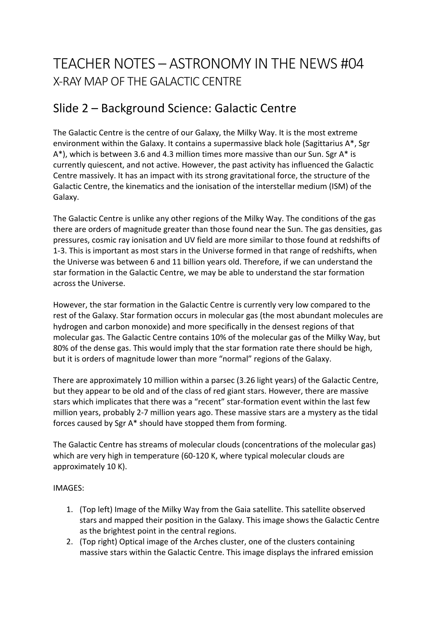# TEACHER NOTES – ASTRONOMY IN THE NEWS #04 X-RAY MAP OF THE GALACTIC CENTRE

## Slide 2 – Background Science: Galactic Centre

The Galactic Centre is the centre of our Galaxy, the Milky Way. It is the most extreme environment within the Galaxy. It contains a supermassive black hole (Sagittarius A\*, Sgr A\*), which is between 3.6 and 4.3 million times more massive than our Sun. Sgr A\* is currently quiescent, and not active. However, the past activity has influenced the Galactic Centre massively. It has an impact with its strong gravitational force, the structure of the Galactic Centre, the kinematics and the ionisation of the interstellar medium (ISM) of the Galaxy.

The Galactic Centre is unlike any other regions of the Milky Way. The conditions of the gas there are orders of magnitude greater than those found near the Sun. The gas densities, gas pressures, cosmic ray ionisation and UV field are more similar to those found at redshifts of 1-3. This is important as most stars in the Universe formed in that range of redshifts, when the Universe was between 6 and 11 billion years old. Therefore, if we can understand the star formation in the Galactic Centre, we may be able to understand the star formation across the Universe.

However, the star formation in the Galactic Centre is currently very low compared to the rest of the Galaxy. Star formation occurs in molecular gas (the most abundant molecules are hydrogen and carbon monoxide) and more specifically in the densest regions of that molecular gas. The Galactic Centre contains 10% of the molecular gas of the Milky Way, but 80% of the dense gas. This would imply that the star formation rate there should be high, but it is orders of magnitude lower than more "normal" regions of the Galaxy.

There are approximately 10 million within a parsec (3.26 light years) of the Galactic Centre, but they appear to be old and of the class of red giant stars. However, there are massive stars which implicates that there was a "recent" star-formation event within the last few million years, probably 2-7 million years ago. These massive stars are a mystery as the tidal forces caused by Sgr A\* should have stopped them from forming.

The Galactic Centre has streams of molecular clouds (concentrations of the molecular gas) which are very high in temperature (60-120 K, where typical molecular clouds are approximately 10 K).

#### IMAGES:

- 1. (Top left) Image of the Milky Way from the Gaia satellite. This satellite observed stars and mapped their position in the Galaxy. This image shows the Galactic Centre as the brightest point in the central regions.
- 2. (Top right) Optical image of the Arches cluster, one of the clusters containing massive stars within the Galactic Centre. This image displays the infrared emission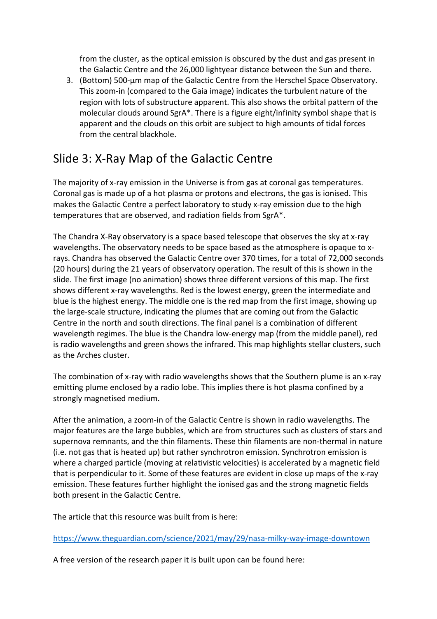from the cluster, as the optical emission is obscured by the dust and gas present in the Galactic Centre and the 26,000 lightyear distance between the Sun and there.

3. (Bottom) 500-µm map of the Galactic Centre from the Herschel Space Observatory. This zoom-in (compared to the Gaia image) indicates the turbulent nature of the region with lots of substructure apparent. This also shows the orbital pattern of the molecular clouds around SgrA\*. There is a figure eight/infinity symbol shape that is apparent and the clouds on this orbit are subject to high amounts of tidal forces from the central blackhole.

## Slide 3: X-Ray Map of the Galactic Centre

The majority of x-ray emission in the Universe is from gas at coronal gas temperatures. Coronal gas is made up of a hot plasma or protons and electrons, the gas is ionised. This makes the Galactic Centre a perfect laboratory to study x-ray emission due to the high temperatures that are observed, and radiation fields from SgrA\*.

The Chandra X-Ray observatory is a space based telescope that observes the sky at x-ray wavelengths. The observatory needs to be space based as the atmosphere is opaque to xrays. Chandra has observed the Galactic Centre over 370 times, for a total of 72,000 seconds (20 hours) during the 21 years of observatory operation. The result of this is shown in the slide. The first image (no animation) shows three different versions of this map. The first shows different x-ray wavelengths. Red is the lowest energy, green the intermediate and blue is the highest energy. The middle one is the red map from the first image, showing up the large-scale structure, indicating the plumes that are coming out from the Galactic Centre in the north and south directions. The final panel is a combination of different wavelength regimes. The blue is the Chandra low-energy map (from the middle panel), red is radio wavelengths and green shows the infrared. This map highlights stellar clusters, such as the Arches cluster.

The combination of x-ray with radio wavelengths shows that the Southern plume is an x-ray emitting plume enclosed by a radio lobe. This implies there is hot plasma confined by a strongly magnetised medium.

After the animation, a zoom-in of the Galactic Centre is shown in radio wavelengths. The major features are the large bubbles, which are from structures such as clusters of stars and supernova remnants, and the thin filaments. These thin filaments are non-thermal in nature (i.e. not gas that is heated up) but rather synchrotron emission. Synchrotron emission is where a charged particle (moving at relativistic velocities) is accelerated by a magnetic field that is perpendicular to it. Some of these features are evident in close up maps of the x-ray emission. These features further highlight the ionised gas and the strong magnetic fields both present in the Galactic Centre.

The article that this resource was built from is here:

https://www.theguardian.com/science/2021/may/29/nasa-milky-way-image-downtown

A free version of the research paper it is built upon can be found here: